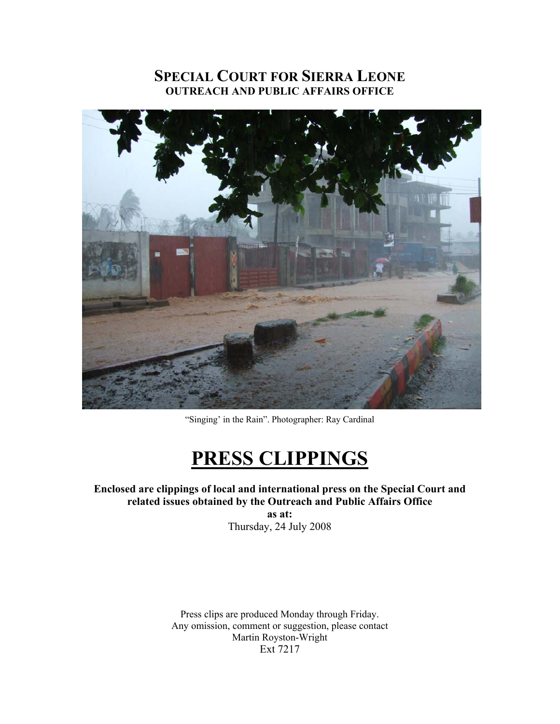# **SPECIAL COURT FOR SIERRA LEONE OUTREACH AND PUBLIC AFFAIRS OFFICE**



"Singing' in the Rain". Photographer: Ray Cardinal

# **PRESS CLIPPINGS**

## **Enclosed are clippings of local and international press on the Special Court and related issues obtained by the Outreach and Public Affairs Office**

**as at:**  Thursday, 24 July 2008

Press clips are produced Monday through Friday. Any omission, comment or suggestion, please contact Martin Royston-Wright Ext 7217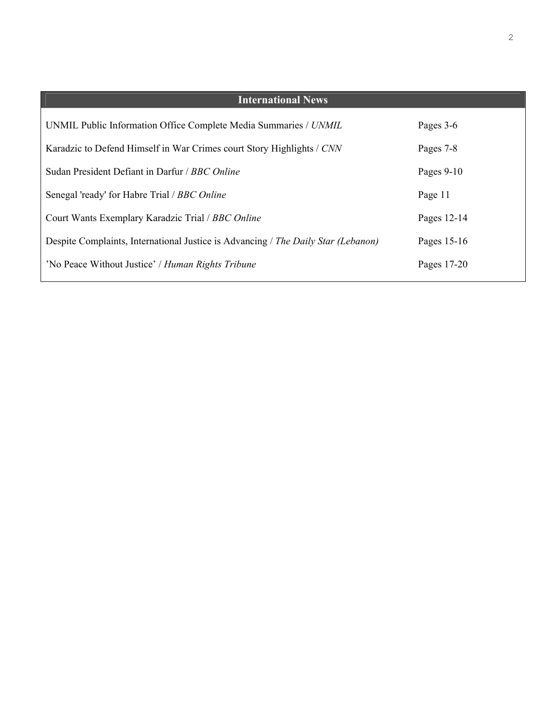| <b>International News</b>                                                         |              |
|-----------------------------------------------------------------------------------|--------------|
| UNMIL Public Information Office Complete Media Summaries / UNMIL                  | Pages 3-6    |
| Karadzic to Defend Himself in War Crimes court Story Highlights / CNN             | Pages 7-8    |
| Sudan President Defiant in Darfur / BBC Online                                    | Pages $9-10$ |
| Senegal 'ready' for Habre Trial / BBC Online                                      | Page 11      |
| Court Wants Exemplary Karadzic Trial / BBC Online                                 | Pages 12-14  |
| Despite Complaints, International Justice is Advancing / The Daily Star (Lebanon) | Pages 15-16  |
| 'No Peace Without Justice' / Human Rights Tribune                                 | Pages 17-20  |
|                                                                                   |              |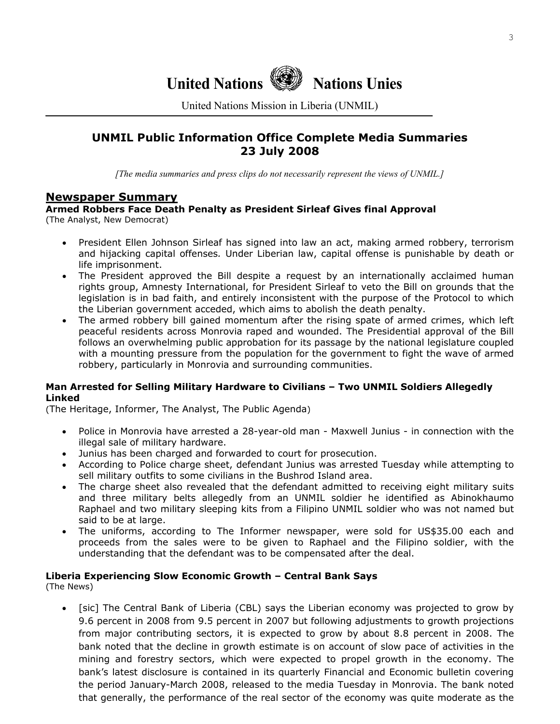

United Nations Mission in Liberia (UNMIL)

# **UNMIL Public Information Office Complete Media Summaries 23 July 2008**

*[The media summaries and press clips do not necessarily represent the views of UNMIL.]*

### **Newspaper Summary**

**Armed Robbers Face Death Penalty as President Sirleaf Gives final Approval**  (The Analyst, New Democrat)

- President Ellen Johnson Sirleaf has signed into law an act, making armed robbery, terrorism and hijacking capital offenses*.* Under Liberian law, capital offense is punishable by death or life imprisonment.
- The President approved the Bill despite a request by an internationally acclaimed human rights group, Amnesty International, for President Sirleaf to veto the Bill on grounds that the legislation is in bad faith, and entirely inconsistent with the purpose of the Protocol to which the Liberian government acceded, which aims to abolish the death penalty.
- The armed robbery bill gained momentum after the rising spate of armed crimes, which left peaceful residents across Monrovia raped and wounded. The Presidential approval of the Bill follows an overwhelming public approbation for its passage by the national legislature coupled with a mounting pressure from the population for the government to fight the wave of armed robbery, particularly in Monrovia and surrounding communities.

#### **Man Arrested for Selling Military Hardware to Civilians – Two UNMIL Soldiers Allegedly Linked**

(The Heritage, Informer, The Analyst, The Public Agenda)

- Police in Monrovia have arrested a 28-year-old man Maxwell Junius in connection with the illegal sale of military hardware.
- Junius has been charged and forwarded to court for prosecution.
- According to Police charge sheet, defendant Junius was arrested Tuesday while attempting to sell military outfits to some civilians in the Bushrod Island area.
- The charge sheet also revealed that the defendant admitted to receiving eight military suits and three military belts allegedly from an UNMIL soldier he identified as Abinokhaumo Raphael and two military sleeping kits from a Filipino UNMIL soldier who was not named but said to be at large.
- The uniforms, according to The Informer newspaper, were sold for US\$35.00 each and proceeds from the sales were to be given to Raphael and the Filipino soldier, with the understanding that the defendant was to be compensated after the deal.

#### **Liberia Experiencing Slow Economic Growth – Central Bank Says**

(The News)

• [sic] The Central Bank of Liberia (CBL) says the Liberian economy was projected to grow by 9.6 percent in 2008 from 9.5 percent in 2007 but following adjustments to growth projections from major contributing sectors, it is expected to grow by about 8.8 percent in 2008. The bank noted that the decline in growth estimate is on account of slow pace of activities in the mining and forestry sectors, which were expected to propel growth in the economy. The bank's latest disclosure is contained in its quarterly Financial and Economic bulletin covering the period January-March 2008, released to the media Tuesday in Monrovia. The bank noted that generally, the performance of the real sector of the economy was quite moderate as the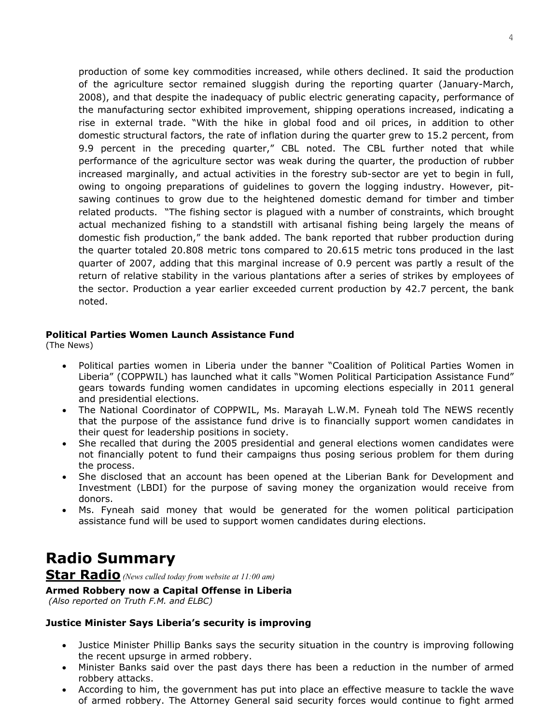production of some key commodities increased, while others declined. It said the production of the agriculture sector remained sluggish during the reporting quarter (January-March, 2008), and that despite the inadequacy of public electric generating capacity, performance of the manufacturing sector exhibited improvement, shipping operations increased, indicating a rise in external trade. "With the hike in global food and oil prices, in addition to other domestic structural factors, the rate of inflation during the quarter grew to 15.2 percent, from 9.9 percent in the preceding quarter," CBL noted. The CBL further noted that while performance of the agriculture sector was weak during the quarter, the production of rubber increased marginally, and actual activities in the forestry sub-sector are yet to begin in full, owing to ongoing preparations of guidelines to govern the logging industry. However, pitsawing continues to grow due to the heightened domestic demand for timber and timber related products. "The fishing sector is plagued with a number of constraints, which brought actual mechanized fishing to a standstill with artisanal fishing being largely the means of domestic fish production," the bank added. The bank reported that rubber production during the quarter totaled 20.808 metric tons compared to 20.615 metric tons produced in the last quarter of 2007, adding that this marginal increase of 0.9 percent was partly a result of the return of relative stability in the various plantations after a series of strikes by employees of the sector. Production a year earlier exceeded current production by 42.7 percent, the bank noted.

#### **Political Parties Women Launch Assistance Fund**

(The News)

- Political parties women in Liberia under the banner "Coalition of Political Parties Women in Liberia" (COPPWIL) has launched what it calls "Women Political Participation Assistance Fund" gears towards funding women candidates in upcoming elections especially in 2011 general and presidential elections.
- The National Coordinator of COPPWIL, Ms. Marayah L.W.M. Fyneah told The NEWS recently that the purpose of the assistance fund drive is to financially support women candidates in their quest for leadership positions in society.
- She recalled that during the 2005 presidential and general elections women candidates were not financially potent to fund their campaigns thus posing serious problem for them during the process.
- She disclosed that an account has been opened at the Liberian Bank for Development and Investment (LBDI) for the purpose of saving money the organization would receive from donors.
- Ms. Fyneah said money that would be generated for the women political participation assistance fund will be used to support women candidates during elections.

# **Radio Summary**

**Star Radio** *(News culled today from website at 11:00 am)* 

# **Armed Robbery now a Capital Offense in Liberia**

 *(Also reported on Truth F.M. and ELBC)*

#### **Justice Minister Says Liberia's security is improving**

- Justice Minister Phillip Banks says the security situation in the country is improving following the recent upsurge in armed robbery.
- Minister Banks said over the past days there has been a reduction in the number of armed robbery attacks.
- According to him, the government has put into place an effective measure to tackle the wave of armed robbery. The Attorney General said security forces would continue to fight armed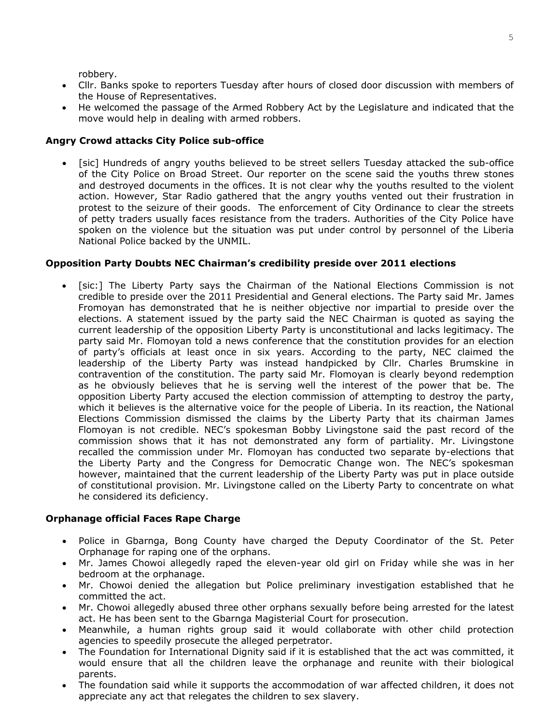robbery.

- Cllr. Banks spoke to reporters Tuesday after hours of closed door discussion with members of the House of Representatives.
- He welcomed the passage of the Armed Robbery Act by the Legislature and indicated that the move would help in dealing with armed robbers.

#### **Angry Crowd attacks City Police sub-office**

• [sic] Hundreds of angry youths believed to be street sellers Tuesday attacked the sub-office of the City Police on Broad Street. Our reporter on the scene said the youths threw stones and destroyed documents in the offices. It is not clear why the youths resulted to the violent action. However, Star Radio gathered that the angry youths vented out their frustration in protest to the seizure of their goods. The enforcement of City Ordinance to clear the streets of petty traders usually faces resistance from the traders. Authorities of the City Police have spoken on the violence but the situation was put under control by personnel of the Liberia National Police backed by the UNMIL.

#### **Opposition Party Doubts NEC Chairman's credibility preside over 2011 elections**

[sic:] The Liberty Party says the Chairman of the National Elections Commission is not credible to preside over the 2011 Presidential and General elections. The Party said Mr. James Fromoyan has demonstrated that he is neither objective nor impartial to preside over the elections. A statement issued by the party said the NEC Chairman is quoted as saying the current leadership of the opposition Liberty Party is unconstitutional and lacks legitimacy. The party said Mr. Flomoyan told a news conference that the constitution provides for an election of party's officials at least once in six years. According to the party, NEC claimed the leadership of the Liberty Party was instead handpicked by Cllr. Charles Brumskine in contravention of the constitution. The party said Mr. Flomoyan is clearly beyond redemption as he obviously believes that he is serving well the interest of the power that be. The opposition Liberty Party accused the election commission of attempting to destroy the party, which it believes is the alternative voice for the people of Liberia. In its reaction, the National Elections Commission dismissed the claims by the Liberty Party that its chairman James Flomoyan is not credible. NEC's spokesman Bobby Livingstone said the past record of the commission shows that it has not demonstrated any form of partiality. Mr. Livingstone recalled the commission under Mr. Flomoyan has conducted two separate by-elections that the Liberty Party and the Congress for Democratic Change won. The NEC's spokesman however, maintained that the current leadership of the Liberty Party was put in place outside of constitutional provision. Mr. Livingstone called on the Liberty Party to concentrate on what he considered its deficiency.

#### **Orphanage official Faces Rape Charge**

- Police in Gbarnga, Bong County have charged the Deputy Coordinator of the St. Peter Orphanage for raping one of the orphans.
- Mr. James Chowoi allegedly raped the eleven-year old girl on Friday while she was in her bedroom at the orphanage.
- Mr. Chowoi denied the allegation but Police preliminary investigation established that he committed the act.
- Mr. Chowoi allegedly abused three other orphans sexually before being arrested for the latest act. He has been sent to the Gbarnga Magisterial Court for prosecution.
- Meanwhile, a human rights group said it would collaborate with other child protection agencies to speedily prosecute the alleged perpetrator.
- The Foundation for International Dignity said if it is established that the act was committed, it would ensure that all the children leave the orphanage and reunite with their biological parents.
- The foundation said while it supports the accommodation of war affected children, it does not appreciate any act that relegates the children to sex slavery.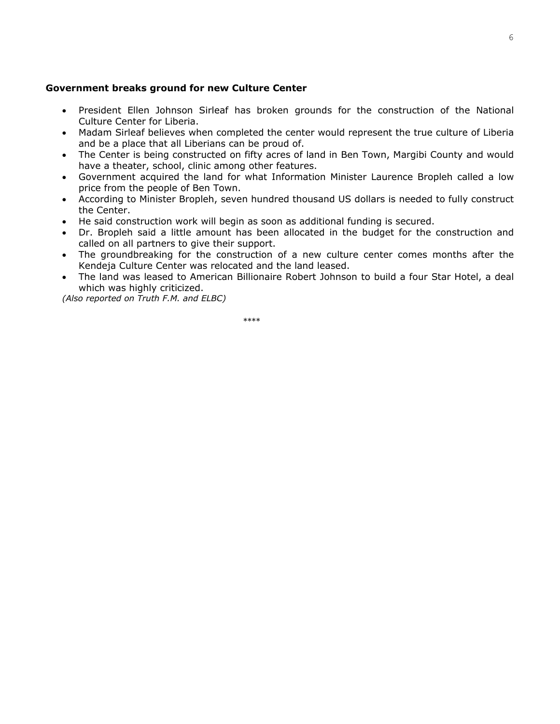#### **Government breaks ground for new Culture Center**

- President Ellen Johnson Sirleaf has broken grounds for the construction of the National Culture Center for Liberia.
- Madam Sirleaf believes when completed the center would represent the true culture of Liberia and be a place that all Liberians can be proud of.
- The Center is being constructed on fifty acres of land in Ben Town, Margibi County and would have a theater, school, clinic among other features.
- Government acquired the land for what Information Minister Laurence Bropleh called a low price from the people of Ben Town.
- According to Minister Bropleh, seven hundred thousand US dollars is needed to fully construct the Center.
- He said construction work will begin as soon as additional funding is secured.
- Dr. Bropleh said a little amount has been allocated in the budget for the construction and called on all partners to give their support.
- The groundbreaking for the construction of a new culture center comes months after the Kendeja Culture Center was relocated and the land leased.
- The land was leased to American Billionaire Robert Johnson to build a four Star Hotel, a deal which was highly criticized.

*(Also reported on Truth F.M. and ELBC)*

\*\*\*\*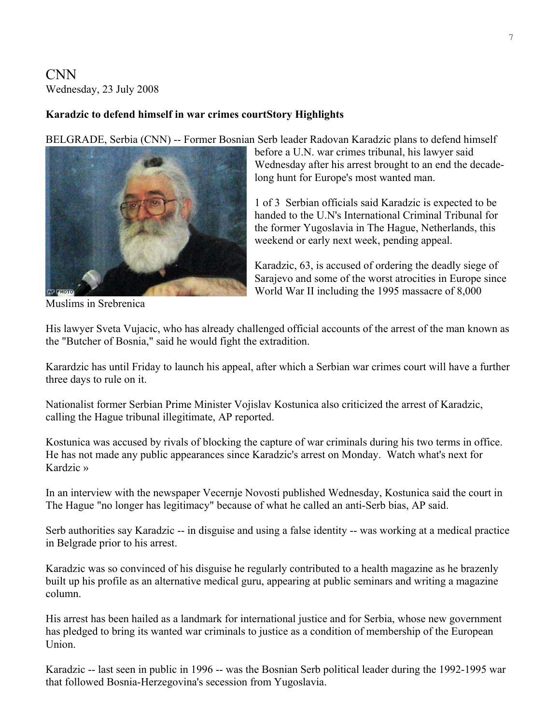# CNN Wednesday, 23 July 2008

## **Karadzic to defend himself in war crimes courtStory Highlights**

BELGRADE, Serbia (CNN) -- Former Bosnian Serb leader Radovan Karadzic plans to defend himself



Muslims in Srebrenica

before a U.N. war crimes tribunal, his lawyer said Wednesday after his arrest brought to an end the decadelong hunt for Europe's most wanted man.

1 of 3 Serbian officials said Karadzic is expected to be handed to the U.N's International Criminal Tribunal for the former Yugoslavia in The Hague, Netherlands, this weekend or early next week, pending appeal.

Karadzic, 63, is accused of ordering the deadly siege of Sarajevo and some of the worst atrocities in Europe since World War II including the 1995 massacre of 8,000

His lawyer Sveta Vujacic, who has already challenged official accounts of the arrest of the man known as the "Butcher of Bosnia," said he would fight the extradition.

Karardzic has until Friday to launch his appeal, after which a Serbian war crimes court will have a further three days to rule on it.

Nationalist former Serbian Prime Minister Vojislav Kostunica also criticized the arrest of Karadzic, calling the Hague tribunal illegitimate, AP reported.

Kostunica was accused by rivals of blocking the capture of war criminals during his two terms in office. He has not made any public appearances since Karadzic's arrest on Monday. Watch what's next for Kardzic »

In an interview with the newspaper Vecernje Novosti published Wednesday, Kostunica said the court in The Hague "no longer has legitimacy" because of what he called an anti-Serb bias, AP said.

Serb authorities say Karadzic -- in disguise and using a false identity -- was working at a medical practice in Belgrade prior to his arrest.

Karadzic was so convinced of his disguise he regularly contributed to a health magazine as he brazenly built up his profile as an alternative medical guru, appearing at public seminars and writing a magazine column.

His arrest has been hailed as a landmark for international justice and for Serbia, whose new government has pledged to bring its wanted war criminals to justice as a condition of membership of the European Union.

Karadzic -- last seen in public in 1996 -- was the Bosnian Serb political leader during the 1992-1995 war that followed Bosnia-Herzegovina's secession from Yugoslavia.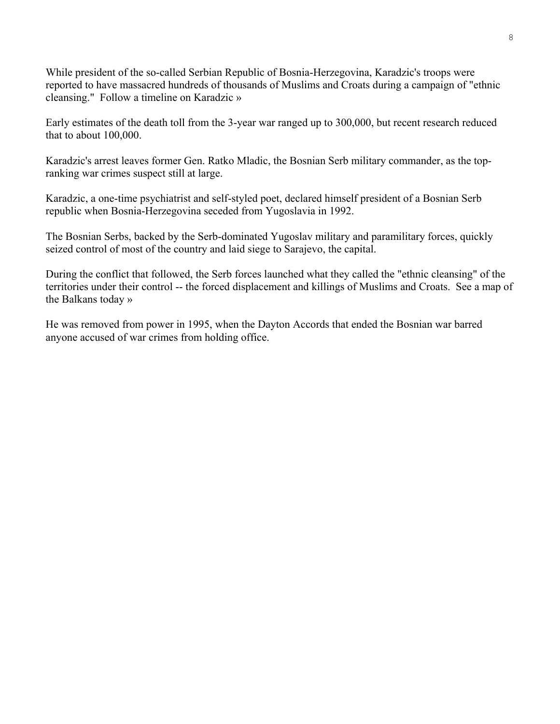While president of the so-called Serbian Republic of Bosnia-Herzegovina, Karadzic's troops were reported to have massacred hundreds of thousands of Muslims and Croats during a campaign of "ethnic cleansing." Follow a timeline on Karadzic »

Early estimates of the death toll from the 3-year war ranged up to 300,000, but recent research reduced that to about 100,000.

Karadzic's arrest leaves former Gen. Ratko Mladic, the Bosnian Serb military commander, as the topranking war crimes suspect still at large.

Karadzic, a one-time psychiatrist and self-styled poet, declared himself president of a Bosnian Serb republic when Bosnia-Herzegovina seceded from Yugoslavia in 1992.

The Bosnian Serbs, backed by the Serb-dominated Yugoslav military and paramilitary forces, quickly seized control of most of the country and laid siege to Sarajevo, the capital.

During the conflict that followed, the Serb forces launched what they called the "ethnic cleansing" of the territories under their control -- the forced displacement and killings of Muslims and Croats. See a map of the Balkans today »

He was removed from power in 1995, when the Dayton Accords that ended the Bosnian war barred anyone accused of war crimes from holding office.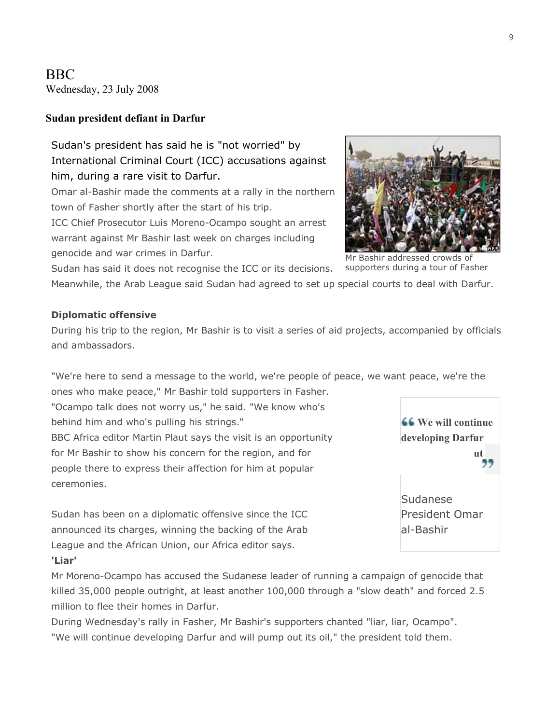BBC Wednesday, 23 July 2008

#### **Sudan president defiant in Darfur**

Sudan's president has said he is "not worried" by International Criminal Court (ICC) accusations against him, during a rare visit to Darfur.

Omar al-Bashir made the comments at a rally in the northern town of Fasher shortly after the start of his trip.

ICC Chief Prosecutor Luis Moreno-Ocampo sought an arrest warrant against Mr Bashir last week on charges including genocide and war crimes in Darfur.

Sudan has said it does not recognise the ICC or its decisions.

Meanwhile, the Arab League said Sudan had agreed to set up special courts to deal with Darfur.

#### **Diplomatic offensive**

During his trip to the region, Mr Bashir is to visit a series of aid projects, accompanied by officials and ambassadors.

"We're here to send a message to the world, we're people of peace, we want peace, we're the

ones who make peace," Mr Bashir told supporters in Fasher. "Ocampo talk does not worry us," he said. "We know who's behind him and who's pulling his strings." BBC Africa editor Martin Plaut says the visit is an opportunity for Mr Bashir to show his concern for the region, and for people there to express their affection for him at popular ceremonies.

Sudan has been on a diplomatic offensive since the ICC announced its charges, winning the backing of the Arab League and the African Union, our Africa editor says. **'Liar'**

Mr Moreno-Ocampo has accused the Sudanese leader of running a campaign of genocide that killed 35,000 people outright, at least another 100,000 through a "slow death" and forced 2.5 million to flee their homes in Darfur.

During Wednesday's rally in Fasher, Mr Bashir's supporters chanted "liar, liar, Ocampo". "We will continue developing Darfur and will pump out its oil," the president told them.



*<u>f</u>* **We will continue** 



Mr Bashir addressed crowds of supporters during a tour of Fasher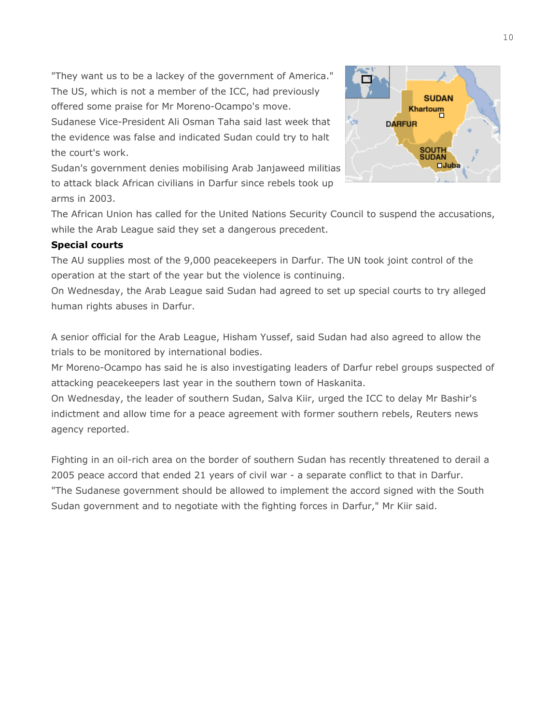"They want us to be a lackey of the government of America." The US, which is not a member of the ICC, had previously offered some praise for Mr Moreno-Ocampo's move.

Sudanese Vice-President Ali Osman Taha said last week that the evidence was false and indicated Sudan could try to halt the court's work.

Sudan's government denies mobilising Arab Janjaweed militias to attack black African civilians in Darfur since rebels took up arms in 2003.



The African Union has called for the United Nations Security Council to suspend the accusations, while the Arab League said they set a dangerous precedent.

#### **Special courts**

The AU supplies most of the 9,000 peacekeepers in Darfur. The UN took joint control of the operation at the start of the year but the violence is continuing.

On Wednesday, the Arab League said Sudan had agreed to set up special courts to try alleged human rights abuses in Darfur.

A senior official for the Arab League, Hisham Yussef, said Sudan had also agreed to allow the trials to be monitored by international bodies.

Mr Moreno-Ocampo has said he is also investigating leaders of Darfur rebel groups suspected of attacking peacekeepers last year in the southern town of Haskanita.

On Wednesday, the leader of southern Sudan, Salva Kiir, urged the ICC to delay Mr Bashir's indictment and allow time for a peace agreement with former southern rebels, Reuters news agency reported.

Fighting in an oil-rich area on the border of southern Sudan has recently threatened to derail a 2005 peace accord that ended 21 years of civil war - a separate conflict to that in Darfur. "The Sudanese government should be allowed to implement the accord signed with the South Sudan government and to negotiate with the fighting forces in Darfur," Mr Kiir said.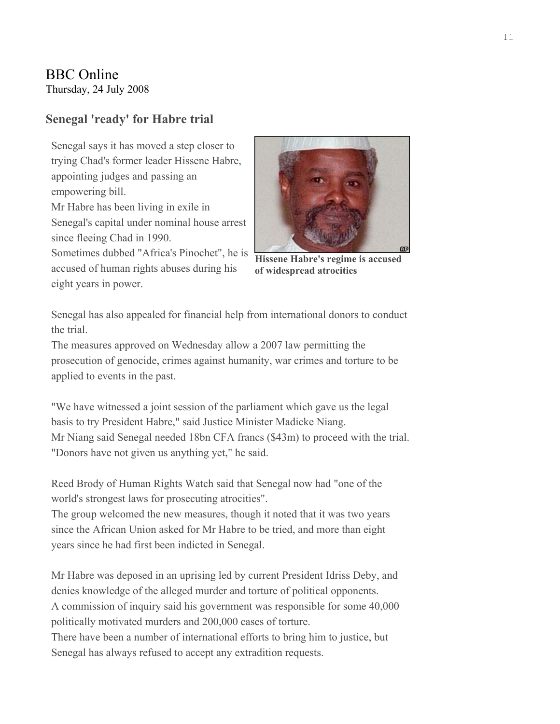# BBC Online

Thursday, 24 July 2008

# **Senegal 'ready' for Habre trial**

Senegal says it has moved a step closer to trying Chad's former leader Hissene Habre, appointing judges and passing an empowering bill.

Mr Habre has been living in exile in Senegal's capital under nominal house arrest since fleeing Chad in 1990.



**Hissene Habre's regime is accused of widespread atrocities** 

Sometimes dubbed "Africa's Pinochet", he is accused of human rights abuses during his eight years in power.

Senegal has also appealed for financial help from international donors to conduct the trial.

The measures approved on Wednesday allow a 2007 law permitting the prosecution of genocide, crimes against humanity, war crimes and torture to be applied to events in the past.

"We have witnessed a joint session of the parliament which gave us the legal basis to try President Habre," said Justice Minister Madicke Niang. Mr Niang said Senegal needed 18bn CFA francs (\$43m) to proceed with the trial. "Donors have not given us anything yet," he said.

Reed Brody of Human Rights Watch said that Senegal now had "one of the world's strongest laws for prosecuting atrocities".

The group welcomed the new measures, though it noted that it was two years since the African Union asked for Mr Habre to be tried, and more than eight years since he had first been indicted in Senegal.

Mr Habre was deposed in an uprising led by current President Idriss Deby, and denies knowledge of the alleged murder and torture of political opponents. A commission of inquiry said his government was responsible for some 40,000 politically motivated murders and 200,000 cases of torture. There have been a number of international efforts to bring him to justice, but

Senegal has always refused to accept any extradition requests.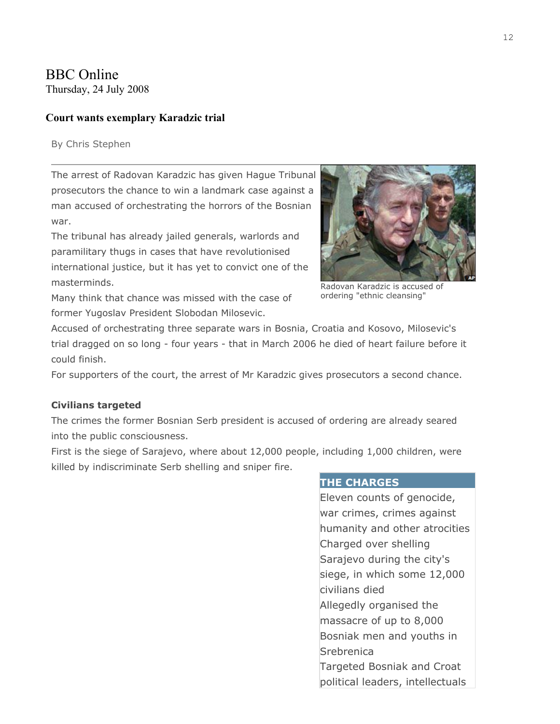# BBC Online Thursday, 24 July 2008

### **Court wants exemplary Karadzic trial**

By Chris Stephen

The arrest of Radovan Karadzic has given Hague Tribunal prosecutors the chance to win a landmark case against a man accused of orchestrating the horrors of the Bosnian war.

The tribunal has already jailed generals, warlords and paramilitary thugs in cases that have revolutionised international justice, but it has yet to convict one of the masterminds.

Radovan Karadzic is accused of ordering "ethnic cleansing"

Many think that chance was missed with the case of former Yugoslav President Slobodan Milosevic.

Accused of orchestrating three separate wars in Bosnia, Croatia and Kosovo, Milosevic's trial dragged on so long - four years - that in March 2006 he died of heart failure before it could finish.

For supporters of the court, the arrest of Mr Karadzic gives prosecutors a second chance.

#### **Civilians targeted**

The crimes the former Bosnian Serb president is accused of ordering are already seared into the public consciousness.

First is the siege of Sarajevo, where about 12,000 people, including 1,000 children, were killed by indiscriminate Serb shelling and sniper fire.

#### **THE CHARGES**

Eleven counts of genocide, war crimes, crimes against humanity and other atrocities Charged over shelling Sarajevo during the city's siege, in which some 12,000 civilians died Allegedly organised the massacre of up to 8,000 Bosniak men and youths in **Srebrenica** Targeted Bosniak and Croat political leaders, intellectuals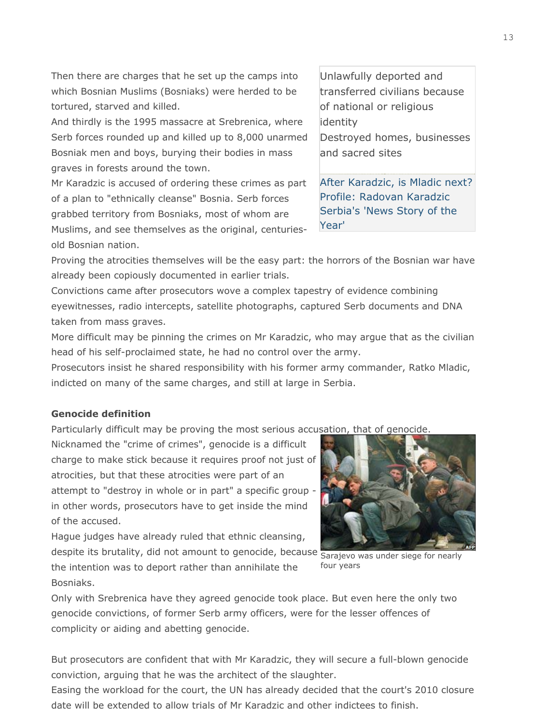Then there are charges that he set up the camps into which Bosnian Muslims (Bosniaks) were herded to be tortured, starved and killed.

And thirdly is the 1995 massacre at Srebrenica, where Serb forces rounded up and killed up to 8,000 unarmed Bosniak men and boys, burying their bodies in mass graves in forests around the town.

Mr Karadzic is accused of ordering these crimes as part of a plan to "ethnically cleanse" Bosnia. Serb forces grabbed territory from Bosniaks, most of whom are Muslims, and see themselves as the original, centuriesold Bosnian nation.

Unlawfully deported and transferred civilians because of national or religious identity Destroyed homes, businesses and sacred sites

[After Karadzic, is Mladic next?](http://news.bbc.co.uk/2/hi/europe/7521119.stm) [Profile: Radovan Karadzic](http://news.bbc.co.uk/2/hi/europe/876084.stm) [Serbia's 'News Story of the](http://news.bbc.co.uk/2/hi/europe/7521995.stm)  [Year'](http://news.bbc.co.uk/2/hi/europe/7521995.stm)

Proving the atrocities themselves will be the easy part: the horrors of the Bosnian war have already been copiously documented in earlier trials.

Convictions came after prosecutors wove a complex tapestry of evidence combining eyewitnesses, radio intercepts, satellite photographs, captured Serb documents and DNA taken from mass graves.

More difficult may be pinning the crimes on Mr Karadzic, who may argue that as the civilian head of his self-proclaimed state, he had no control over the army.

Prosecutors insist he shared responsibility with his former army commander, Ratko Mladic, indicted on many of the same charges, and still at large in Serbia.

#### **Genocide definition**

Particularly difficult may be proving the most serious accusation, that of genocide.

Nicknamed the "crime of crimes", genocide is a difficult charge to make stick because it requires proof not just of atrocities, but that these atrocities were part of an attempt to "destroy in whole or in part" a specific group in other words, prosecutors have to get inside the mind of the accused.

Hague judges have already ruled that ethnic cleansing, despite its brutality, did not amount to genocide, because Sarajevo was under siege for nearly the intention was to deport rather than annihilate the Bosniaks.

four years

Only with Srebrenica have they agreed genocide took place. But even here the only two genocide convictions, of former Serb army officers, were for the lesser offences of complicity or aiding and abetting genocide.

But prosecutors are confident that with Mr Karadzic, they will secure a full-blown genocide conviction, arguing that he was the architect of the slaughter.

Easing the workload for the court, the UN has already decided that the court's 2010 closure date will be extended to allow trials of Mr Karadzic and other indictees to finish.

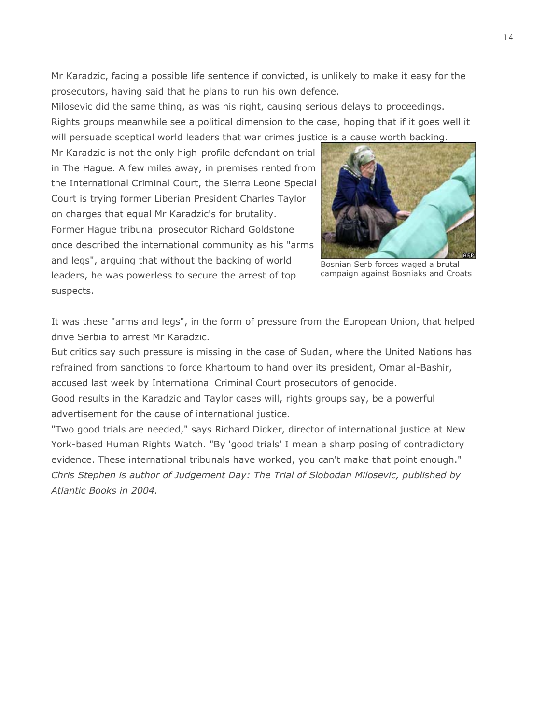Mr Karadzic, facing a possible life sentence if convicted, is unlikely to make it easy for the prosecutors, having said that he plans to run his own defence.

Milosevic did the same thing, as was his right, causing serious delays to proceedings. Rights groups meanwhile see a political dimension to the case, hoping that if it goes well it will persuade sceptical world leaders that war crimes justice is a cause worth backing.

Mr Karadzic is not the only high-profile defendant on trial in The Hague. A few miles away, in premises rented from the International Criminal Court, the Sierra Leone Special Court is trying former Liberian President Charles Taylor on charges that equal Mr Karadzic's for brutality. Former Hague tribunal prosecutor Richard Goldstone once described the international community as his "arms and legs", arguing that without the backing of world leaders, he was powerless to secure the arrest of top suspects.



Bosnian Serb forces waged a brutal campaign against Bosniaks and Croats

It was these "arms and legs", in the form of pressure from the European Union, that helped drive Serbia to arrest Mr Karadzic.

But critics say such pressure is missing in the case of Sudan, where the United Nations has refrained from sanctions to force Khartoum to hand over its president, Omar al-Bashir, accused last week by International Criminal Court prosecutors of genocide.

Good results in the Karadzic and Taylor cases will, rights groups say, be a powerful advertisement for the cause of international justice.

"Two good trials are needed," says Richard Dicker, director of international justice at New York-based Human Rights Watch. "By 'good trials' I mean a sharp posing of contradictory evidence. These international tribunals have worked, you can't make that point enough." *Chris Stephen is author of Judgement Day: The Trial of Slobodan Milosevic, published by Atlantic Books in 2004.*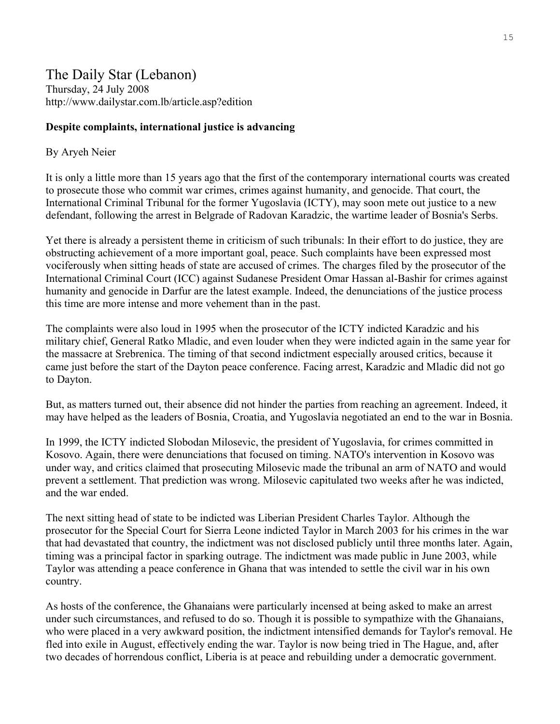The Daily Star (Lebanon) Thursday, 24 July 2008 http://www.dailystar.com.lb/article.asp?edition

#### **Despite complaints, international justice is advancing**

#### By Aryeh Neier

It is only a little more than 15 years ago that the first of the contemporary international courts was created to prosecute those who commit war crimes, crimes against humanity, and genocide. That court, the International Criminal Tribunal for the former Yugoslavia (ICTY), may soon mete out justice to a new defendant, following the arrest in Belgrade of Radovan Karadzic, the wartime leader of Bosnia's Serbs.

Yet there is already a persistent theme in criticism of such tribunals: In their effort to do justice, they are obstructing achievement of a more important goal, peace. Such complaints have been expressed most vociferously when sitting heads of state are accused of crimes. The charges filed by the prosecutor of the International Criminal Court (ICC) against Sudanese President Omar Hassan al-Bashir for crimes against humanity and genocide in Darfur are the latest example. Indeed, the denunciations of the justice process this time are more intense and more vehement than in the past.

The complaints were also loud in 1995 when the prosecutor of the ICTY indicted Karadzic and his military chief, General Ratko Mladic, and even louder when they were indicted again in the same year for the massacre at Srebrenica. The timing of that second indictment especially aroused critics, because it came just before the start of the Dayton peace conference. Facing arrest, Karadzic and Mladic did not go to Dayton.

But, as matters turned out, their absence did not hinder the parties from reaching an agreement. Indeed, it may have helped as the leaders of Bosnia, Croatia, and Yugoslavia negotiated an end to the war in Bosnia.

In 1999, the ICTY indicted Slobodan Milosevic, the president of Yugoslavia, for crimes committed in Kosovo. Again, there were denunciations that focused on timing. NATO's intervention in Kosovo was under way, and critics claimed that prosecuting Milosevic made the tribunal an arm of NATO and would prevent a settlement. That prediction was wrong. Milosevic capitulated two weeks after he was indicted, and the war ended.

The next sitting head of state to be indicted was Liberian President Charles Taylor. Although the prosecutor for the Special Court for Sierra Leone indicted Taylor in March 2003 for his crimes in the war that had devastated that country, the indictment was not disclosed publicly until three months later. Again, timing was a principal factor in sparking outrage. The indictment was made public in June 2003, while Taylor was attending a peace conference in Ghana that was intended to settle the civil war in his own country.

As hosts of the conference, the Ghanaians were particularly incensed at being asked to make an arrest under such circumstances, and refused to do so. Though it is possible to sympathize with the Ghanaians, who were placed in a very awkward position, the indictment intensified demands for Taylor's removal. He fled into exile in August, effectively ending the war. Taylor is now being tried in The Hague, and, after two decades of horrendous conflict, Liberia is at peace and rebuilding under a democratic government.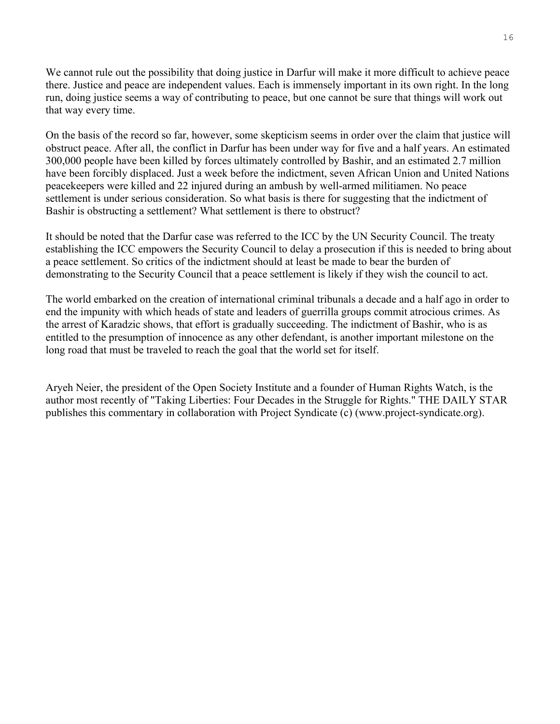We cannot rule out the possibility that doing justice in Darfur will make it more difficult to achieve peace there. Justice and peace are independent values. Each is immensely important in its own right. In the long run, doing justice seems a way of contributing to peace, but one cannot be sure that things will work out that way every time.

On the basis of the record so far, however, some skepticism seems in order over the claim that justice will obstruct peace. After all, the conflict in Darfur has been under way for five and a half years. An estimated 300,000 people have been killed by forces ultimately controlled by Bashir, and an estimated 2.7 million have been forcibly displaced. Just a week before the indictment, seven African Union and United Nations peacekeepers were killed and 22 injured during an ambush by well-armed militiamen. No peace settlement is under serious consideration. So what basis is there for suggesting that the indictment of Bashir is obstructing a settlement? What settlement is there to obstruct?

It should be noted that the Darfur case was referred to the ICC by the UN Security Council. The treaty establishing the ICC empowers the Security Council to delay a prosecution if this is needed to bring about a peace settlement. So critics of the indictment should at least be made to bear the burden of demonstrating to the Security Council that a peace settlement is likely if they wish the council to act.

The world embarked on the creation of international criminal tribunals a decade and a half ago in order to end the impunity with which heads of state and leaders of guerrilla groups commit atrocious crimes. As the arrest of Karadzic shows, that effort is gradually succeeding. The indictment of Bashir, who is as entitled to the presumption of innocence as any other defendant, is another important milestone on the long road that must be traveled to reach the goal that the world set for itself.

Aryeh Neier, the president of the Open Society Institute and a founder of Human Rights Watch, is the author most recently of "Taking Liberties: Four Decades in the Struggle for Rights." THE DAILY STAR publishes this commentary in collaboration with Project Syndicate (c) (www.project-syndicate.org).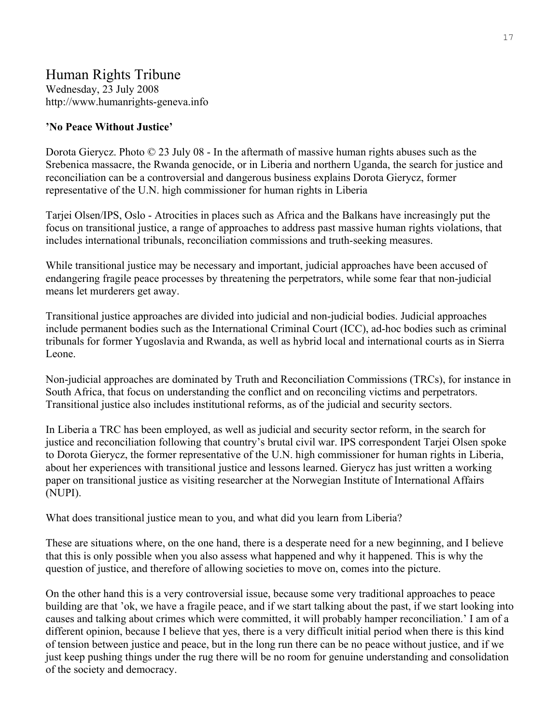# Human Rights Tribune Wednesday, 23 July 2008 http://www.humanrights-geneva.info

### **'No Peace Without Justice'**

Dorota Gierycz. Photo © 23 July 08 - In the aftermath of massive human rights abuses such as the Srebenica massacre, the Rwanda genocide, or in Liberia and northern Uganda, the search for justice and reconciliation can be a controversial and dangerous business explains Dorota Gierycz, former representative of the U.N. high commissioner for human rights in Liberia

Tarjei Olsen/IPS, Oslo - Atrocities in places such as Africa and the Balkans have increasingly put the focus on transitional justice, a range of approaches to address past massive human rights violations, that includes international tribunals, reconciliation commissions and truth-seeking measures.

While transitional justice may be necessary and important, judicial approaches have been accused of endangering fragile peace processes by threatening the perpetrators, while some fear that non-judicial means let murderers get away.

Transitional justice approaches are divided into judicial and non-judicial bodies. Judicial approaches include permanent bodies such as the International Criminal Court (ICC), ad-hoc bodies such as criminal tribunals for former Yugoslavia and Rwanda, as well as hybrid local and international courts as in Sierra Leone.

Non-judicial approaches are dominated by Truth and Reconciliation Commissions (TRCs), for instance in South Africa, that focus on understanding the conflict and on reconciling victims and perpetrators. Transitional justice also includes institutional reforms, as of the judicial and security sectors.

In Liberia a TRC has been employed, as well as judicial and security sector reform, in the search for justice and reconciliation following that country's brutal civil war. IPS correspondent Tarjei Olsen spoke to Dorota Gierycz, the former representative of the U.N. high commissioner for human rights in Liberia, about her experiences with transitional justice and lessons learned. Gierycz has just written a working paper on transitional justice as visiting researcher at the Norwegian Institute of International Affairs (NUPI).

What does transitional justice mean to you, and what did you learn from Liberia?

These are situations where, on the one hand, there is a desperate need for a new beginning, and I believe that this is only possible when you also assess what happened and why it happened. This is why the question of justice, and therefore of allowing societies to move on, comes into the picture.

On the other hand this is a very controversial issue, because some very traditional approaches to peace building are that 'ok, we have a fragile peace, and if we start talking about the past, if we start looking into causes and talking about crimes which were committed, it will probably hamper reconciliation.' I am of a different opinion, because I believe that yes, there is a very difficult initial period when there is this kind of tension between justice and peace, but in the long run there can be no peace without justice, and if we just keep pushing things under the rug there will be no room for genuine understanding and consolidation of the society and democracy.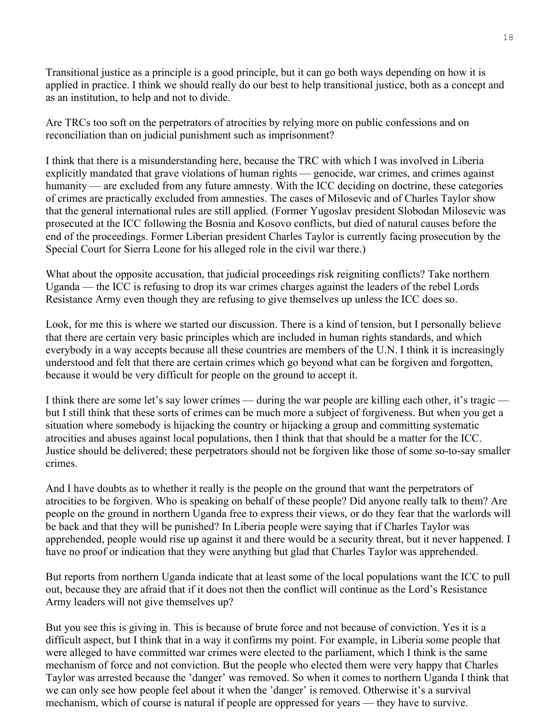Transitional justice as a principle is a good principle, but it can go both ways depending on how it is applied in practice. I think we should really do our best to help transitional justice, both as a concept and as an institution, to help and not to divide.

Are TRCs too soft on the perpetrators of atrocities by relying more on public confessions and on reconciliation than on judicial punishment such as imprisonment?

I think that there is a misunderstanding here, because the TRC with which I was involved in Liberia explicitly mandated that grave violations of human rights — genocide, war crimes, and crimes against humanity — are excluded from any future amnesty. With the ICC deciding on doctrine, these categories of crimes are practically excluded from amnesties. The cases of Milosevic and of Charles Taylor show that the general international rules are still applied. (Former Yugoslav president Slobodan Milosevic was prosecuted at the ICC following the Bosnia and Kosovo conflicts, but died of natural causes before the end of the proceedings. Former Liberian president Charles Taylor is currently facing prosecution by the Special Court for Sierra Leone for his alleged role in the civil war there.)

What about the opposite accusation, that judicial proceedings risk reigniting conflicts? Take northern Uganda — the ICC is refusing to drop its war crimes charges against the leaders of the rebel Lords Resistance Army even though they are refusing to give themselves up unless the ICC does so.

Look, for me this is where we started our discussion. There is a kind of tension, but I personally believe that there are certain very basic principles which are included in human rights standards, and which everybody in a way accepts because all these countries are members of the U.N. I think it is increasingly understood and felt that there are certain crimes which go beyond what can be forgiven and forgotten, because it would be very difficult for people on the ground to accept it.

I think there are some let's say lower crimes — during the war people are killing each other, it's tragic but I still think that these sorts of crimes can be much more a subject of forgiveness. But when you get a situation where somebody is hijacking the country or hijacking a group and committing systematic atrocities and abuses against local populations, then I think that that should be a matter for the ICC. Justice should be delivered; these perpetrators should not be forgiven like those of some so-to-say smaller crimes.

And I have doubts as to whether it really is the people on the ground that want the perpetrators of atrocities to be forgiven. Who is speaking on behalf of these people? Did anyone really talk to them? Are people on the ground in northern Uganda free to express their views, or do they fear that the warlords will be back and that they will be punished? In Liberia people were saying that if Charles Taylor was apprehended, people would rise up against it and there would be a security threat, but it never happened. I have no proof or indication that they were anything but glad that Charles Taylor was apprehended.

But reports from northern Uganda indicate that at least some of the local populations want the ICC to pull out, because they are afraid that if it does not then the conflict will continue as the Lord's Resistance Army leaders will not give themselves up?

But you see this is giving in. This is because of brute force and not because of conviction. Yes it is a difficult aspect, but I think that in a way it confirms my point. For example, in Liberia some people that were alleged to have committed war crimes were elected to the parliament, which I think is the same mechanism of force and not conviction. But the people who elected them were very happy that Charles Taylor was arrested because the 'danger' was removed. So when it comes to northern Uganda I think that we can only see how people feel about it when the 'danger' is removed. Otherwise it's a survival mechanism, which of course is natural if people are oppressed for years — they have to survive.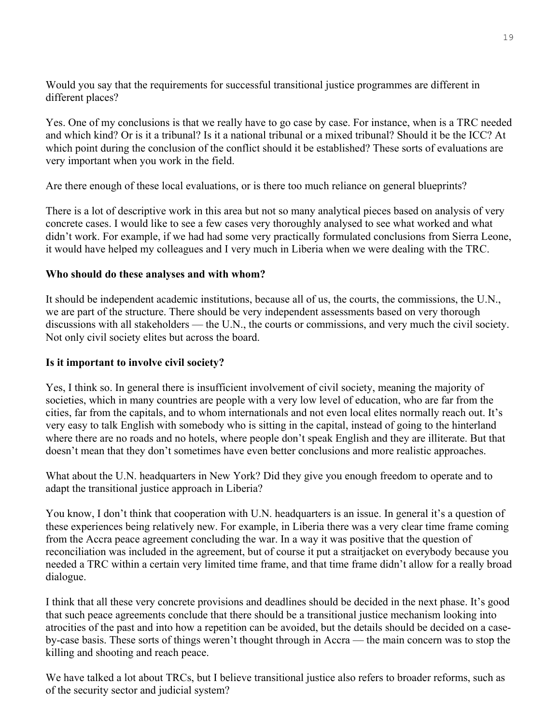Would you say that the requirements for successful transitional justice programmes are different in different places?

Yes. One of my conclusions is that we really have to go case by case. For instance, when is a TRC needed and which kind? Or is it a tribunal? Is it a national tribunal or a mixed tribunal? Should it be the ICC? At which point during the conclusion of the conflict should it be established? These sorts of evaluations are very important when you work in the field.

Are there enough of these local evaluations, or is there too much reliance on general blueprints?

There is a lot of descriptive work in this area but not so many analytical pieces based on analysis of very concrete cases. I would like to see a few cases very thoroughly analysed to see what worked and what didn't work. For example, if we had had some very practically formulated conclusions from Sierra Leone, it would have helped my colleagues and I very much in Liberia when we were dealing with the TRC.

## **Who should do these analyses and with whom?**

It should be independent academic institutions, because all of us, the courts, the commissions, the U.N., we are part of the structure. There should be very independent assessments based on very thorough discussions with all stakeholders — the U.N., the courts or commissions, and very much the civil society. Not only civil society elites but across the board.

## **Is it important to involve civil society?**

Yes, I think so. In general there is insufficient involvement of civil society, meaning the majority of societies, which in many countries are people with a very low level of education, who are far from the cities, far from the capitals, and to whom internationals and not even local elites normally reach out. It's very easy to talk English with somebody who is sitting in the capital, instead of going to the hinterland where there are no roads and no hotels, where people don't speak English and they are illiterate. But that doesn't mean that they don't sometimes have even better conclusions and more realistic approaches.

What about the U.N. headquarters in New York? Did they give you enough freedom to operate and to adapt the transitional justice approach in Liberia?

You know, I don't think that cooperation with U.N. headquarters is an issue. In general it's a question of these experiences being relatively new. For example, in Liberia there was a very clear time frame coming from the Accra peace agreement concluding the war. In a way it was positive that the question of reconciliation was included in the agreement, but of course it put a straitjacket on everybody because you needed a TRC within a certain very limited time frame, and that time frame didn't allow for a really broad dialogue.

I think that all these very concrete provisions and deadlines should be decided in the next phase. It's good that such peace agreements conclude that there should be a transitional justice mechanism looking into atrocities of the past and into how a repetition can be avoided, but the details should be decided on a caseby-case basis. These sorts of things weren't thought through in Accra — the main concern was to stop the killing and shooting and reach peace.

We have talked a lot about TRCs, but I believe transitional justice also refers to broader reforms, such as of the security sector and judicial system?